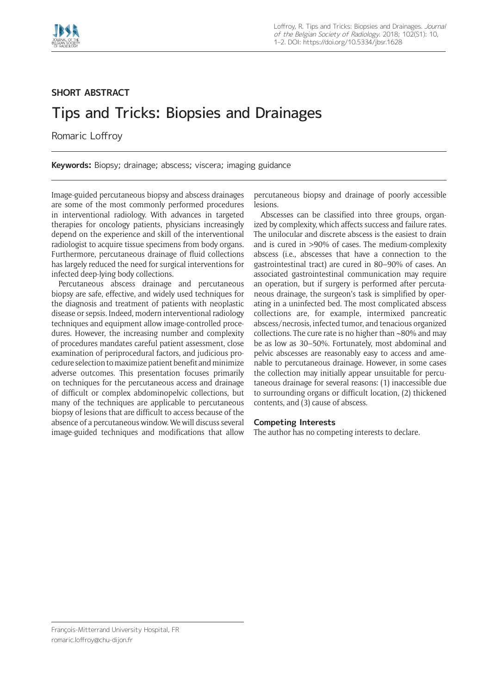

## **SHORT ABSTRACT**

## Tips and Tricks: Biopsies and Drainages

Romaric Loffroy

**Keywords:** Biopsy; drainage; abscess; viscera; imaging guidance

Image-guided percutaneous biopsy and abscess drainages are some of the most commonly performed procedures in interventional radiology. With advances in targeted therapies for oncology patients, physicians increasingly depend on the experience and skill of the interventional radiologist to acquire tissue specimens from body organs. Furthermore, percutaneous drainage of fluid collections has largely reduced the need for surgical interventions for infected deep-lying body collections.

Percutaneous abscess drainage and percutaneous biopsy are safe, effective, and widely used techniques for the diagnosis and treatment of patients with neoplastic disease or sepsis. Indeed, modern interventional radiology techniques and equipment allow image-controlled procedures. However, the increasing number and complexity of procedures mandates careful patient assessment, close examination of periprocedural factors, and judicious procedure selection to maximize patient benefit and minimize adverse outcomes. This presentation focuses primarily on techniques for the percutaneous access and drainage of difficult or complex abdominopelvic collections, but many of the techniques are applicable to percutaneous biopsy of lesions that are difficult to access because of the absence of a percutaneous window. We will discuss several image-guided techniques and modifications that allow

percutaneous biopsy and drainage of poorly accessible lesions.

Abscesses can be classified into three groups, organized by complexity, which affects success and failure rates. The unilocular and discrete abscess is the easiest to drain and is cured in >90% of cases. The medium-complexity abscess (i.e., abscesses that have a connection to the gastrointestinal tract) are cured in 80–90% of cases. An associated gastrointestinal communication may require an operation, but if surgery is performed after percutaneous drainage, the surgeon's task is simplified by operating in a uninfected bed. The most complicated abscess collections are, for example, intermixed pancreatic abscess/necrosis, infected tumor, and tenacious organized collections. The cure rate is no higher than ∼80% and may be as low as 30–50%. Fortunately, most abdominal and pelvic abscesses are reasonably easy to access and amenable to percutaneous drainage. However, in some cases the collection may initially appear unsuitable for percutaneous drainage for several reasons: (1) inaccessible due to surrounding organs or difficult location, (2) thickened contents, and (3) cause of abscess.

## **Competing Interests**

The author has no competing interests to declare.